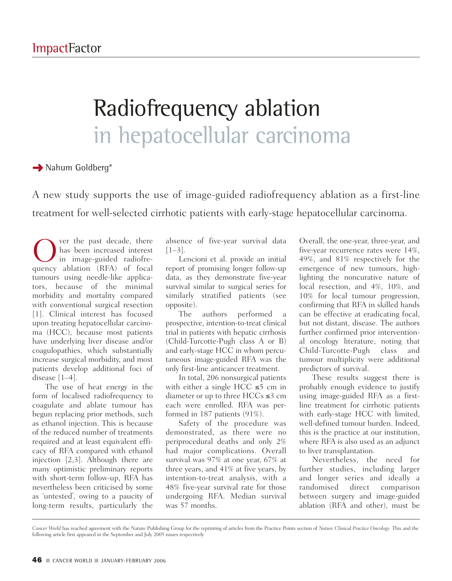## Radiofrequency ablation in hepatocellular carcinoma

**→** Nahum Goldberg<sup>\*</sup>

A new study supports the use of image-guided radiofrequency ablation as a first-line treatment for well-selected cirrhotic patients with early-stage hepatocellular carcinoma.

O ver the past decade, there<br>in image-guided radiofre-<br>quency ablation (RFA) of focal has been increased interest in image-guided radiofrequency ablation (RFA) of focal tumours using needle-like applicators, because of the minimal morbidity and mortality compared with conventional surgical resection [1]. Clinical interest has focused upon treating hepatocellular carcinoma (HCC), because most patients have underlying liver disease and/or coagulopathies, which substantially increase surgical morbidity, and most patients develop additional foci of disease [1–4].

The use of heat energy in the form of localised radiofrequency to coagulate and ablate tumour has begun replacing prior methods, such as ethanol injection. This is because of the reduced number of treatments required and at least equivalent efficacy of RFA compared with ethanol injection [2,3]. Although there are many optimistic preliminary reports with short-term follow-up, RFA has nevertheless been criticised by some as 'untested', owing to a paucity of long-term results, particularly the

absence of five-year survival data  $[1-3]$ .

Lencioni et al. provide an initial report of promising longer follow-up data, as they demonstrate five-year survival similar to surgical series for similarly stratified patients (see opposite).

The authors performed a prospective, intention-to-treat clinical trial in patients with hepatic cirrhosis (Child-Turcotte-Pugh class A or B) and early-stage HCC in whom percutaneous image-guided RFA was the only first-line anticancer treatment.

In total, 206 nonsurgical patients with either a single HCC  $\leq 5$  cm in diameter or up to three  $HCCs \leq 3$  cm each were enrolled. RFA was performed in 187 patients (91%).

Safety of the procedure was demonstrated, as there were no periprocedural deaths and only 2% had major complications. Overall survival was 97% at one year, 67% at three years, and 41% at five years, by intention-to-treat analysis, with a 48% five-year survival rate for those undergoing RFA. Median survival was 57 months.

Overall, the one-year, three-year, and five-year recurrence rates were 14%, 49%, and 81% respectively for the emergence of new tumours, highlighting the noncurative nature of local resection, and 4%, 10%, and 10% for local tumour progression, confirming that RFA in skilled hands can be effective at eradicating focal, but not distant, disease. The authors further confirmed prior interventional oncology literature, noting that Child-Turcotte-Pugh class and tumour multiplicity were additional predictors of survival.

These results suggest there is probably enough evidence to justify using image-guided RFA as a firstline treatment for cirrhotic patients with early-stage HCC with limited, well-defined tumour burden. Indeed, this is the practice at our institution, where RFA is also used as an adjunct to liver transplantation.

Nevertheless, the need for further studies, including larger and longer series and ideally a randomised direct comparison between surgery and image-guided ablation (RFA and other), must be

*Cancer World* has reached agreement with the Nature Publishing Group for the reprinting of articles from the Practice Points section of *Nature Clinical Practice Oncology*. This and the following article first appeared in the September and July 2005 issues respectively